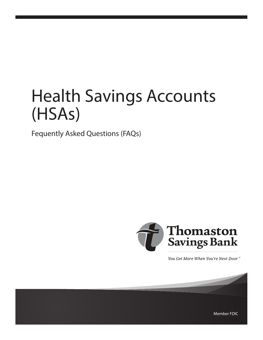# Health Savings Accounts (HSAs)

Fequently Asked Questions (FAQs)



You Get More When You're Next Door<sup>®</sup>

Member FDIC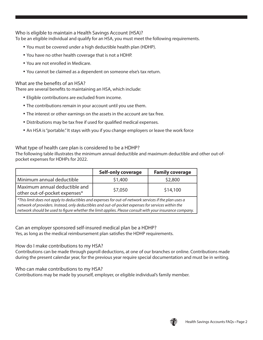Who is eligible to maintain a Health Savings Account (HSA)?

To be an eligible individual and qualify for an HSA, you must meet the following requirements.

- You must be covered under a high deductible health plan (HDHP).
- You have no other health coverage that is not a HDHP.
- You are not enrolled in Medicare.
- You cannot be claimed as a dependent on someone else's tax return.

# What are the benefits of an HSA?

There are several benefits to maintaining an HSA, which include:

- Eligible contributions are excluded from income.
- The contributions remain in your account until you use them.
- The interest or other earnings on the assets in the account are tax free.
- Distributions may be tax free if used for qualified medical expenses.
- An HSA is "portable." It stays with you if you change employers or leave the work force

What type of health care plan is considered to be a HDHP?

The following table illustrates the minimum annual deductible and maximum deductible and other out-ofpocket expenses for HDHPs for 2022.

|                                                                | <b>Self-only coverage</b> | <b>Family coverage</b> |
|----------------------------------------------------------------|---------------------------|------------------------|
| Minimum annual deductible                                      | \$1,400                   | \$2,800                |
| Maximum annual deductible and<br>other out-of-pocket expenses* | \$7,050                   | \$14,100               |

*\*This limit does not apply to deductibles and expenses for out-of-network services if the plan uses a network of providers. Instead, only deductibles and out-of-pocket expenses for services within the network should be used to figure whether the limit applies. Please consult with your insurance company.*

Can an employer sponsored self-insured medical plan be a HDHP? Yes, as long as the medical reimbursement plan satisfies the HDHP requirements.

How do I make contributions to my HSA?

Contributions can be made through payroll deductions, at one of our branches or online. Contributions made during the present calendar year, for the previous year require special documentation and must be in writing.

Who can make contributions to my HSA?

Contributions may be made by yourself, employer, or eligible individual's family member.

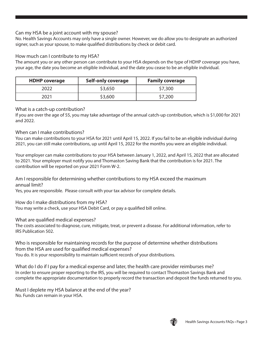## Can my HSA be a joint account with my spouse?

No. Health Savings Accounts may only have a single owner. However, we do allow you to designate an authorized signer, such as your spouse, to make qualified distributions by check or debit card.

#### How much can I contribute to my HSA?

The amount you or any other person can contribute to your HSA depends on the type of HDHP coverage you have, your age, the date you become an eligible individual, and the date you cease to be an eligible individual.

| <b>HDHP</b> coverage | Self-only coverage | <b>Family coverage</b> |
|----------------------|--------------------|------------------------|
| 2022.                | \$3,650            | \$7,300                |
| 2021                 | \$3,600            | \$7,200                |

#### What is a catch-up contribution?

If you are over the age of 55, you may take advantage of the annual catch-up contribution, which is \$1,000 for 2021 and 2022.

### When can I make contributions?

You can make contributions to your HSA for 2021 until April 15, 2022. If you fail to be an eligible individual during 2021, you can still make contributions, up until April 15, 2022 for the months you were an eligible individual.

Your employer can make contributions to your HSA between January 1, 2022, and April 15, 2022 that are allocated to 2021. Your employer must notify you and Thomaston Saving Bank that the contribution is for 2021. The contribution will be reported on your 2021 Form W-2.

Am I responsible for determining whether contributions to my HSA exceed the maximum annual limit?

Yes, you are responsible. Please consult with your tax advisor for complete details.

How do I make distributions from my HSA? You may write a check, use your HSA Debit Card, or pay a qualified bill online.

What are qualified medical expenses?

The costs associated to diagnose, cure, mitigate, treat, or prevent a disease. For additional information, refer to IRS Publication 502.

Who is responsible for maintaining records for the purpose of determine whether distributions from the HSA are used for qualified medical expenses? You do. It is your responsibility to maintain sufficient records of your distributions.

What do I do if I pay for a medical expense and later, the health care provider reimburses me? In order to ensure proper reporting to the IRS, you will be required to contact Thomaston Savings Bank and complete the appropriate documentation to properly record the transaction and deposit the funds returned to you.

Must I deplete my HSA balance at the end of the year? No. Funds can remain in your HSA.